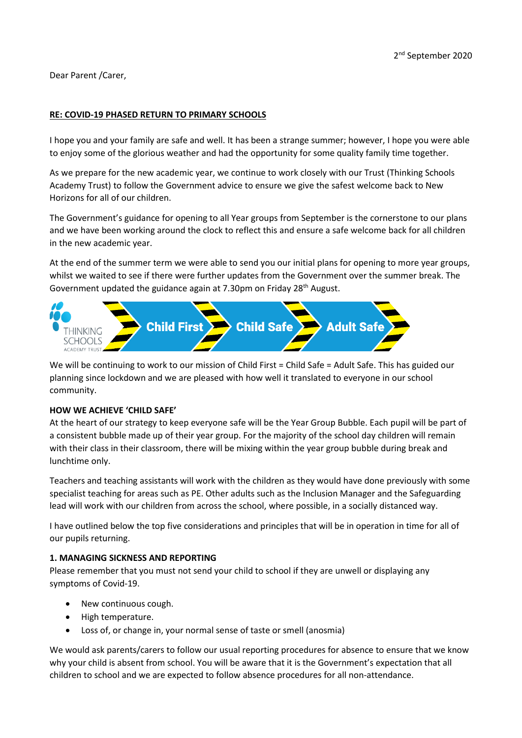Dear Parent /Carer,

#### **RE: COVID-19 PHASED RETURN TO PRIMARY SCHOOLS**

I hope you and your family are safe and well. It has been a strange summer; however, I hope you were able to enjoy some of the glorious weather and had the opportunity for some quality family time together.

As we prepare for the new academic year, we continue to work closely with our Trust (Thinking Schools Academy Trust) to follow the Government advice to ensure we give the safest welcome back to New Horizons for all of our children.

The Government's guidance for opening to all Year groups from September is the cornerstone to our plans and we have been working around the clock to reflect this and ensure a safe welcome back for all children in the new academic year.

At the end of the summer term we were able to send you our initial plans for opening to more year groups, whilst we waited to see if there were further updates from the Government over the summer break. The Government updated the guidance again at 7.30pm on Friday 28<sup>th</sup> August.



We will be continuing to work to our mission of Child First = Child Safe = Adult Safe. This has guided our planning since lockdown and we are pleased with how well it translated to everyone in our school community.

#### **HOW WE ACHIEVE 'CHILD SAFE'**

At the heart of our strategy to keep everyone safe will be the Year Group Bubble. Each pupil will be part of a consistent bubble made up of their year group. For the majority of the school day children will remain with their class in their classroom, there will be mixing within the year group bubble during break and lunchtime only.

Teachers and teaching assistants will work with the children as they would have done previously with some specialist teaching for areas such as PE. Other adults such as the Inclusion Manager and the Safeguarding lead will work with our children from across the school, where possible, in a socially distanced way.

I have outlined below the top five considerations and principles that will be in operation in time for all of our pupils returning.

#### **1. MANAGING SICKNESS AND REPORTING**

Please remember that you must not send your child to school if they are unwell or displaying any symptoms of Covid-19.

- New continuous cough.
- High temperature.
- Loss of, or change in, your normal sense of taste or smell (anosmia)

We would ask parents/carers to follow our usual reporting procedures for absence to ensure that we know why your child is absent from school. You will be aware that it is the Government's expectation that all children to school and we are expected to follow absence procedures for all non-attendance.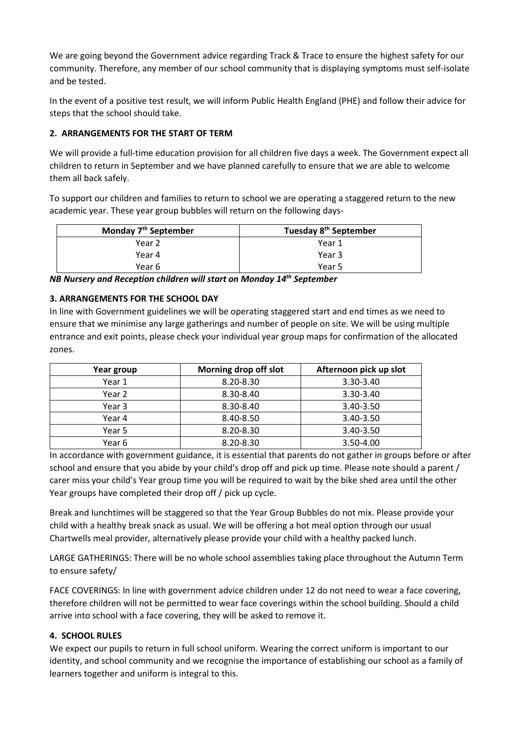We are going beyond the Government advice regarding Track & Trace to ensure the highest safety for our community. Therefore, any member of our school community that is displaying symptoms must self-isolate and be tested.

In the event of a positive test result, we will inform Public Health England (PHE) and follow their advice for steps that the school should take.

# **2. ARRANGEMENTS FOR THE START OF TERM**

We will provide a full-time education provision for all children five days a week. The Government expect all children to return in September and we have planned carefully to ensure that we are able to welcome them all back safely.

To support our children and families to return to school we are operating a staggered return to the new academic year. These year group bubbles will return on the following days-

| Monday 7 <sup>th</sup> September | Tuesday 8 <sup>th</sup> September |
|----------------------------------|-----------------------------------|
| Year 2                           | Year 1                            |
| Year 4                           | Year 3                            |
| Year 6                           | Year 5                            |

*NB Nursery and Reception children will start on Monday 14th September*

## **3. ARRANGEMENTS FOR THE SCHOOL DAY**

In line with Government guidelines we will be operating staggered start and end times as we need to ensure that we minimise any large gatherings and number of people on site. We will be using multiple entrance and exit points, please check your individual year group maps for confirmation of the allocated zones.

| Year group | Morning drop off slot | Afternoon pick up slot |
|------------|-----------------------|------------------------|
| Year 1     | 8.20-8.30             | $3.30 - 3.40$          |
| Year 2     | 8.30-8.40             | $3.30 - 3.40$          |
| Year 3     | 8.30-8.40             | $3.40 - 3.50$          |
| Year 4     | 8.40-8.50             | 3.40-3.50              |
| Year 5     | 8.20-8.30             | 3.40-3.50              |
| Year 6     | 8.20-8.30             | 3.50-4.00              |

In accordance with government guidance, it is essential that parents do not gather in groups before or after school and ensure that you abide by your child's drop off and pick up time. Please note should a parent / carer miss your child's Year group time you will be required to wait by the bike shed area until the other Year groups have completed their drop off / pick up cycle.

Break and lunchtimes will be staggered so that the Year Group Bubbles do not mix. Please provide your child with a healthy break snack as usual. We will be offering a hot meal option through our usual Chartwells meal provider, alternatively please provide your child with a healthy packed lunch.

LARGE GATHERINGS: There will be no whole school assemblies taking place throughout the Autumn Term to ensure safety/

FACE COVERINGS: In line with government advice children under 12 do not need to wear a face covering, therefore children will not be permitted to wear face coverings within the school building. Should a child arrive into school with a face covering, they will be asked to remove it.

## **4. SCHOOL RULES**

We expect our pupils to return in full school uniform. Wearing the correct uniform is important to our identity, and school community and we recognise the importance of establishing our school as a family of learners together and uniform is integral to this.